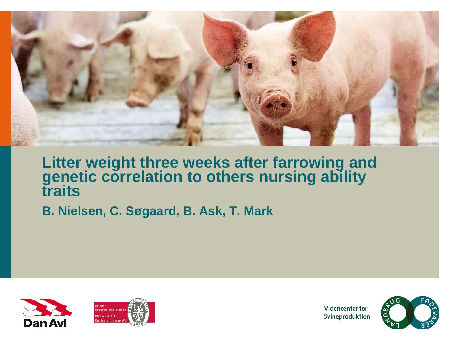

### **Litter weight three weeks after farrowing and genetic correlation to others nursing ability traits**

**B. Nielsen, C. Søgaard, B. Ask, T. Mark**





**Videncenter for** Svineproduktion

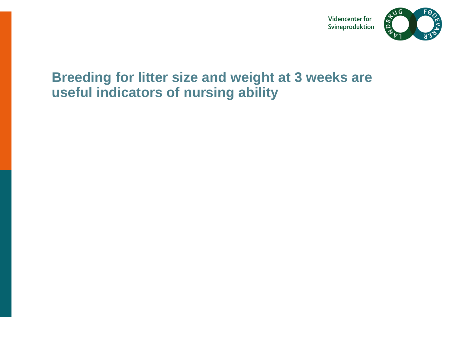

### **Breeding for litter size and weight at 3 weeks are useful indicators of nursing ability**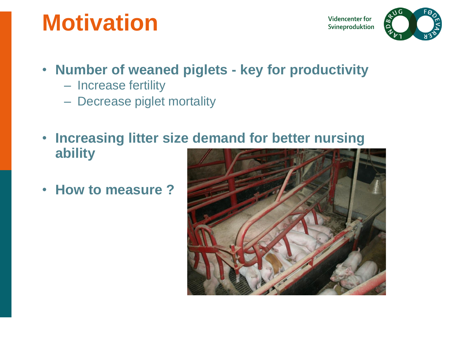# **Motivation**

Videncenter for Svineproduktion



## • **Number of weaned piglets - key for productivity**

- Increase fertility
- Decrease piglet mortality
- **Increasing litter size demand for better nursing ability**
- **How to measure ?**

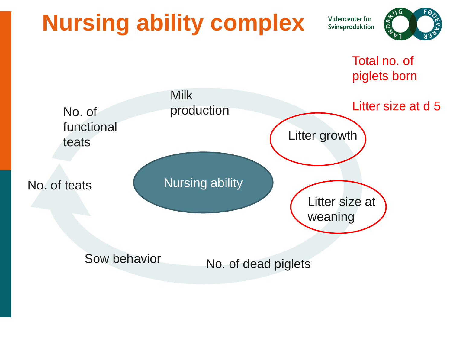# **Nursing ability complex**

**Videncenter for** Svineproduktion



Total no. of piglets born

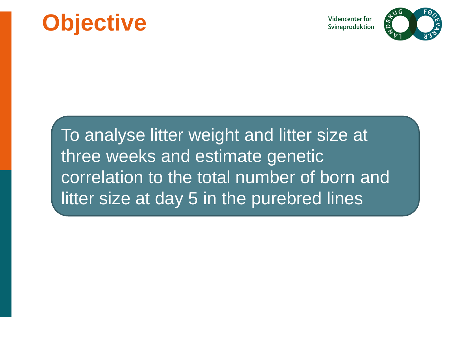# **Objective**

**Videncenter for** Svineproduktion



To analyse litter weight and litter size at three weeks and estimate genetic correlation to the total number of born and litter size at day 5 in the purebred lines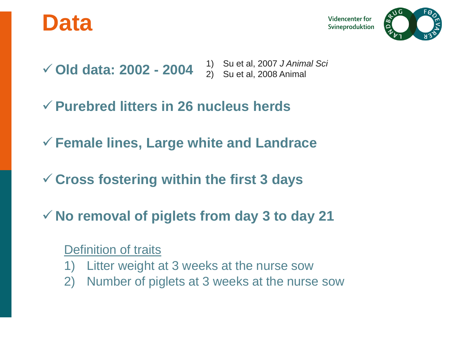

**Videncenter for** Svineproduktion

- **Old data: 2002 - 2004** 1) Su et al, 2007 *J Animal Sci* 2) Su et al, 2008 Animal
- **Purebred litters in 26 nucleus herds**
- **Female lines, Large white and Landrace**
- **Cross fostering within the first 3 days**
- **No removal of piglets from day 3 to day 21**

### Definition of traits

- 1) Litter weight at 3 weeks at the nurse sow
- 2) Number of piglets at 3 weeks at the nurse sow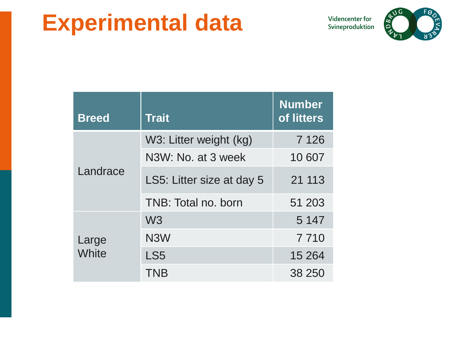## **Experimental data**

Videncenter for Svineproduktion



| <b>Breed</b>   | <b>Trait</b>              | <b>Number</b><br>of litters |
|----------------|---------------------------|-----------------------------|
| Landrace       | W3: Litter weight (kg)    | 7 1 2 6                     |
|                | N3W: No. at 3 week        | 10 607                      |
|                | LS5: Litter size at day 5 | 21 113                      |
|                | TNB: Total no. born       | 51 203                      |
| Large<br>White | W <sub>3</sub>            | 5 1 4 7                     |
|                | N <sub>3</sub> W          | 7 7 1 0                     |
|                | LS <sub>5</sub>           | 15 2 64                     |
|                | TNB                       | 38 250                      |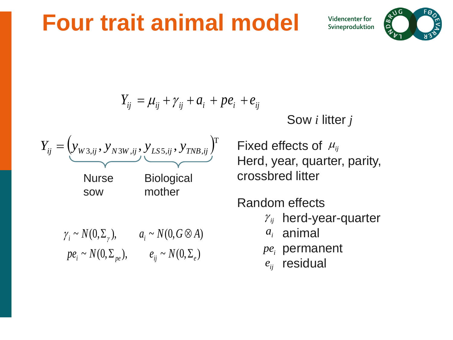## **Four trait animal model**

**Videncenter for** Svineproduktion



$$
Y_{ij} = \mu_{ij} + \gamma_{ij} + a_i + p e_i + e_{ij}
$$

Sow *i* litter *j*



<sup>T</sup> Fixed effects of  $\mu_{ij}$ Herd, year, quarter, parity, crossbred litter

Random effects

- $y_{ij}$  herd-year-quarter
- $a_i$  animal
- $pe<sub>i</sub>$  permanent
- $e_{ij}$  residual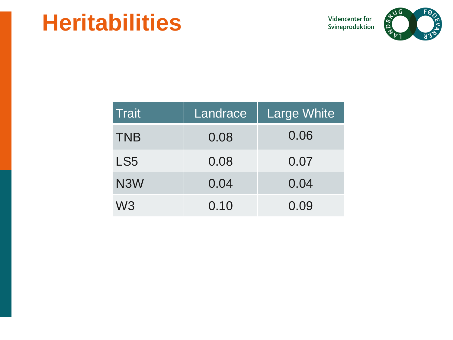## **Heritabilities**

Videncenter for Svineproduktion



| Trait            | Landrace | <b>Large White</b> |
|------------------|----------|--------------------|
| <b>TNB</b>       | 0.08     | 0.06               |
| LS5              | 0.08     | 0.07               |
| N <sub>3</sub> W | 0.04     | 0.04               |
| W3               | 0.10     | 0.09               |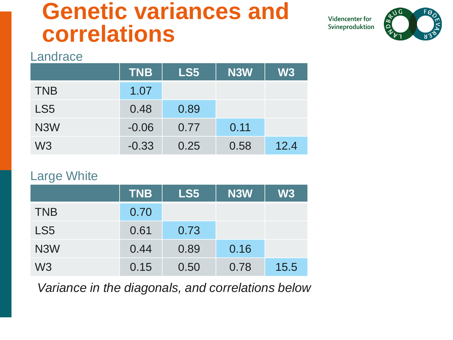## **Genetic variances and correlations**

**Videncenter for** Svineproduktion



#### Landrace

|                  | <b>TNB</b> | LS5  | <b>N3W</b> | <b>W3</b> |
|------------------|------------|------|------------|-----------|
| <b>TNB</b>       | 1.07       |      |            |           |
| LS <sub>5</sub>  | 0.48       | 0.89 |            |           |
| N <sub>3</sub> W | $-0.06$    | 0.77 | 0.11       |           |
| W <sub>3</sub>   | $-0.33$    | 0.25 | 0.58       | 12.4      |

#### Large White

|                  | <b>TNB</b> | LS5  | <b>N3W</b> | W3   |
|------------------|------------|------|------------|------|
| <b>TNB</b>       | 0.70       |      |            |      |
| LS <sub>5</sub>  | 0.61       | 0.73 |            |      |
| N <sub>3</sub> W | 0.44       | 0.89 | 0.16       |      |
| W <sub>3</sub>   | 0.15       | 0.50 | 0.78       | 15.5 |

*Variance in the diagonals, and correlations below*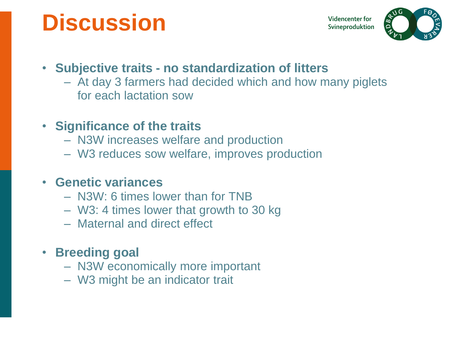# **Discussion**

**Videncenter for** Svineproduktion



### • **Subjective traits - no standardization of litters**

– At day 3 farmers had decided which and how many piglets for each lactation sow

### • **Significance of the traits**

- N3W increases welfare and production
- W3 reduces sow welfare, improves production

### • **Genetic variances**

- N3W: 6 times lower than for TNB
- W3: 4 times lower that growth to 30 kg
- Maternal and direct effect

### • **Breeding goal**

- N3W economically more important
- W3 might be an indicator trait